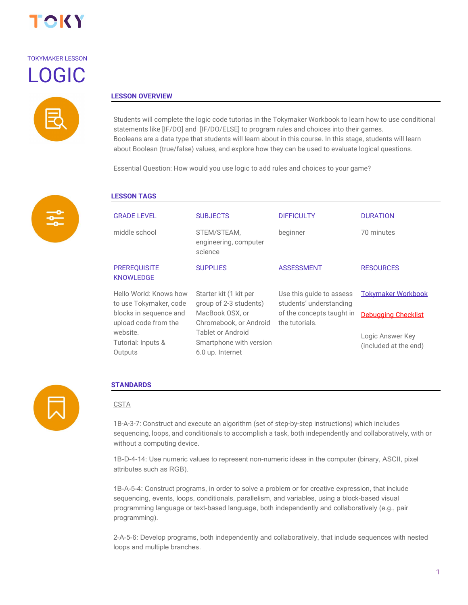

# TOKYMAKER LESSON LOGIC



#### **LESSON OVERVIEW**

Students will complete the logic code tutorias in the Tokymaker Workbook to learn how to use conditional statements like [IF/DO] and [IF/DO/ELSE] to program rules and choices into their games. Booleans are a data type that students will learn about in this course. In this stage, students will learn about Boolean (true/false) values, and explore how they can be used to evaluate logical questions.

Essential Question: How would you use logic to add rules and choices to your game?



## **LESSON TAGS**

| <b>GRADE LEVEL</b>                               | <b>SUBJECTS</b>                                                  | <b>DIFFICULTY</b>                                   | <b>DURATION</b>                           |
|--------------------------------------------------|------------------------------------------------------------------|-----------------------------------------------------|-------------------------------------------|
| middle school                                    | STEM/STEAM,<br>engineering, computer<br>science                  | beginner                                            | 70 minutes                                |
| <b>PREREQUISITE</b><br><b>KNOWLEDGE</b>          | <b>SUPPLIES</b>                                                  | <b>ASSESSMENT</b>                                   | <b>RESOURCES</b>                          |
| Hello World: Knows how<br>to use Tokymaker, code | Starter kit (1 kit per<br>group of 2-3 students)                 | Use this guide to assess<br>students' understanding | <b>Tokymaker Workbook</b>                 |
| blocks in sequence and<br>upload code from the   | MacBook OSX, or<br>Chromebook, or Android                        | of the concepts taught in<br>the tutorials.         | <b>Debugging Checklist</b>                |
| website.<br>Tutorial: Inputs &<br>Outputs        | Tablet or Android<br>Smartphone with version<br>6.0 up. Internet |                                                     | Logic Answer Key<br>(included at the end) |
|                                                  |                                                                  |                                                     |                                           |



#### **STANDARDS**

#### **CSTA**

1B-A-3-7: Construct and execute an algorithm (set of step-by-step instructions) which includes sequencing, loops, and conditionals to accomplish a task, both independently and collaboratively, with or without a computing device.

1B-D-4-14: Use numeric values to represent non-numeric ideas in the computer (binary, ASCII, pixel attributes such as RGB).

1B-A-5-4: Construct programs, in order to solve a problem or for creative expression, that include sequencing, events, loops, conditionals, parallelism, and variables, using a block-based visual programming language or text-based language, both independently and collaboratively (e.g., pair programming).

2-A-5-6: Develop programs, both independently and collaboratively, that include sequences with nested loops and multiple branches.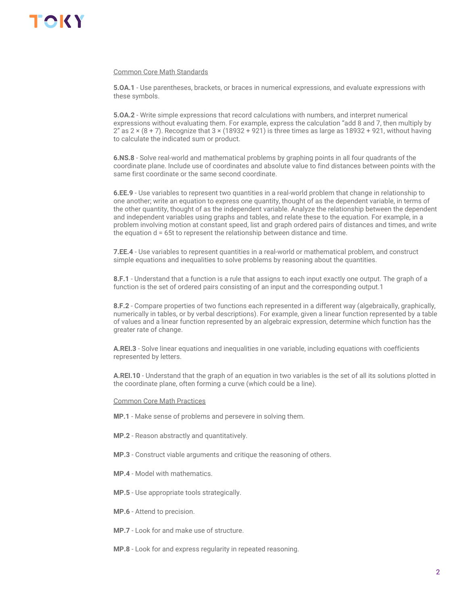#### Common Core Math Standards

**5.OA.1** - Use parentheses, brackets, or braces in numerical expressions, and evaluate expressions with these symbols.

**5.OA.2** - Write simple expressions that record calculations with numbers, and interpret numerical expressions without evaluating them. For example, express the calculation "add 8 and 7, then multiply by 2" as  $2 \times (8 + 7)$ . Recognize that  $3 \times (18932 + 921)$  is three times as large as 18932 + 921, without having to calculate the indicated sum or product.

**6.NS.8** - Solve real-world and mathematical problems by graphing points in all four quadrants of the coordinate plane. Include use of coordinates and absolute value to find distances between points with the same first coordinate or the same second coordinate.

**6.EE.9** - Use variables to represent two quantities in a real-world problem that change in relationship to one another; write an equation to express one quantity, thought of as the dependent variable, in terms of the other quantity, thought of as the independent variable. Analyze the relationship between the dependent and independent variables using graphs and tables, and relate these to the equation. For example, in a problem involving motion at constant speed, list and graph ordered pairs of distances and times, and write the equation d = 65t to represent the relationship between distance and time.

**7.EE.4** - Use variables to represent quantities in a real-world or mathematical problem, and construct simple equations and inequalities to solve problems by reasoning about the quantities.

**8.F.1** - Understand that a function is a rule that assigns to each input exactly one output. The graph of a function is the set of ordered pairs consisting of an input and the corresponding output.1

**8.F.2** - Compare properties of two functions each represented in a different way (algebraically, graphically, numerically in tables, or by verbal descriptions). For example, given a linear function represented by a table of values and a linear function represented by an algebraic expression, determine which function has the greater rate of change.

**A.REI.3** - Solve linear equations and inequalities in one variable, including equations with coefficients represented by letters.

**A.REI.10** - Understand that the graph of an equation in two variables is the set of all its solutions plotted in the coordinate plane, often forming a curve (which could be a line).

#### Common Core Math Practices

- **MP.1** Make sense of problems and persevere in solving them.
- **MP.2** Reason abstractly and quantitatively.
- **MP.3** Construct viable arguments and critique the reasoning of others.
- **MP.4** Model with mathematics.
- **MP.5** Use appropriate tools strategically.
- **MP.6** Attend to precision.
- **MP.7** Look for and make use of structure.
- **MP.8** Look for and express regularity in repeated reasoning.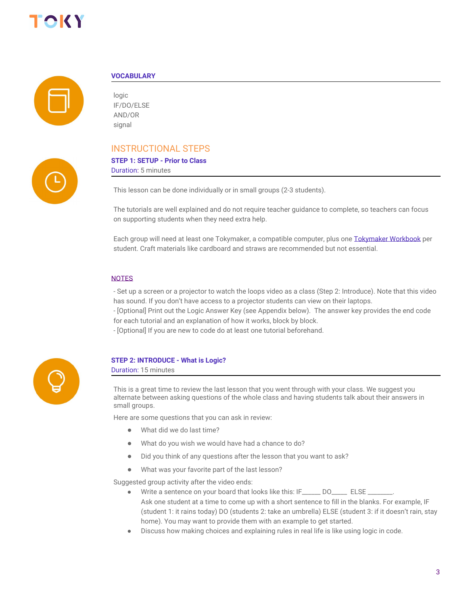



#### **VOCABULARY**

logic IF/DO/ELSE AND/OR signal

### INSTRUCTIONAL STEPS

### **STEP 1: SETUP - Prior to Class**

Duration: 5 minutes

This lesson can be done individually or in small groups (2-3 students).

The tutorials are well explained and do not require teacher guidance to complete, so teachers can focus on supporting students when they need extra help.

Each group will need at least one Tokymaker, a compatible computer, plus one [Tokymaker Workbook](https://docs.google.com/document/d/1M8bdTb4E-0PBFbi7nlpsVoFkDcxeh37j8qKDcfUzScY/edit?usp=sharing) per student. Craft materials like cardboard and straws are recommended but not essential.

#### NOTES

- Set up a screen or a projector to watch the loops video as a class (Step 2: Introduce). Note that this video has sound. If you don't have access to a projector students can view on their laptops.

- [Optional] Print out the Logic Answer Key (see Appendix below). The answer key provides the end code for each tutorial and an explanation of how it works, block by block.

- [Optional] If you are new to code do at least one tutorial beforehand.



#### **STEP 2: INTRODUCE - What is Logic?**

Duration: 15 minutes

This is a great time to review the last lesson that you went through with your class. We suggest you alternate between asking questions of the whole class and having students talk about their answers in small groups.

Here are some questions that you can ask in review:

- What did we do last time?
- What do you wish we would have had a chance to do?
- Did you think of any questions after the lesson that you want to ask?
- What was your favorite part of the last lesson?

Suggested group activity after the video ends:

- Write a sentence on your board that looks like this: IF\_\_\_\_\_\_ DO\_\_\_\_\_\_ ELSE \_\_\_\_ Ask one student at a time to come up with a short sentence to fill in the blanks. For example, IF (student 1: it rains today) DO (students 2: take an umbrella) ELSE (student 3: if it doesn't rain, stay home). You may want to provide them with an example to get started.
- Discuss how making choices and explaining rules in real life is like using logic in code.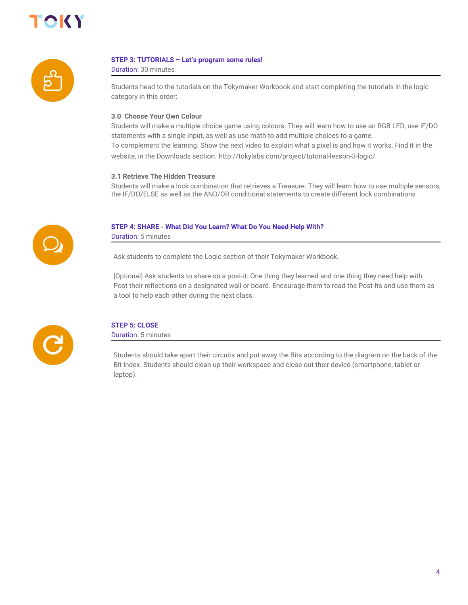



#### **STEP 3: TUTORIALS – Let's program some rules!**

Duration: 30 minutes

Students head to the tutorials on the Tokymaker Workbook and start completing the tutorials in the logic category in this order:

#### **3.0 Choose Your Own Colour**

Students will make a multiple choice game using colours. They will learn how to use an RGB LED, use IF/DO statements with a single input, as well as use math to add multiple choices to a game. To complement the learning. Show the next video to explain what a pixel is and how it works. Find it in the website, in the Downloads section. http://tokylabs.com/project/tutorial-lesson-3-logic/

#### **3.1 Retrieve The Hidden Treasure**

Students will make a lock combination that retrieves a Treasure. They will learn how to use multiple sensors, the IF/DO/ELSE as well as the AND/OR conditional statements to create different lock combinations



#### **STEP 4: SHARE - What Did You Learn? What Do You Need Help With?**

Duration: 5 minutes

Ask students to complete the Logic section of their Tokymaker Workbook.

[Optional] Ask students to share on a post-it: One thing they learned and one thing they need help with. Post their reflections on a designated wall or board. Encourage them to read the Post-Its and use them as a tool to help each other during the next class.



### **STEP 5: CLOSE**

Duration: 5 minutes

Students should take apart their circuits and put away the Bits according to the diagram on the back of the Bit Index. Students should clean up their workspace and close out their device (smartphone, tablet or laptop).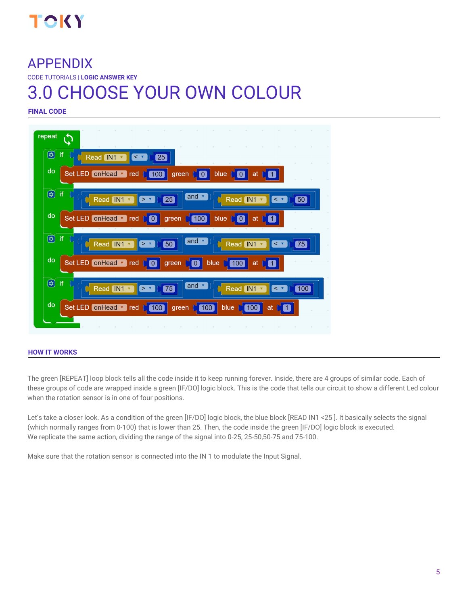

# APPENDIX

CODE TUTORIALS | **LOGIC ANSWER KEY**

# 3.0 CHOOSE YOUR OWN COLOUR

**FINAL CODE**



#### **HOW IT WORKS**

The green [REPEAT] loop block tells all the code inside it to keep running forever. Inside, there are 4 groups of similar code. Each of these groups of code are wrapped inside a green [IF/DO] logic block. This is the code that tells our circuit to show a different Led colour when the rotation sensor is in one of four positions.

Let's take a closer look. As a condition of the green [IF/DO] logic block, the blue block [READ IN1 <25]. It basically selects the signal (which normally ranges from 0-100) that is lower than 25. Then, the code inside the green [IF/DO] logic block is executed. We replicate the same action, dividing the range of the signal into 0-25, 25-50,50-75 and 75-100.

Make sure that the rotation sensor is connected into the IN 1 to modulate the Input Signal.